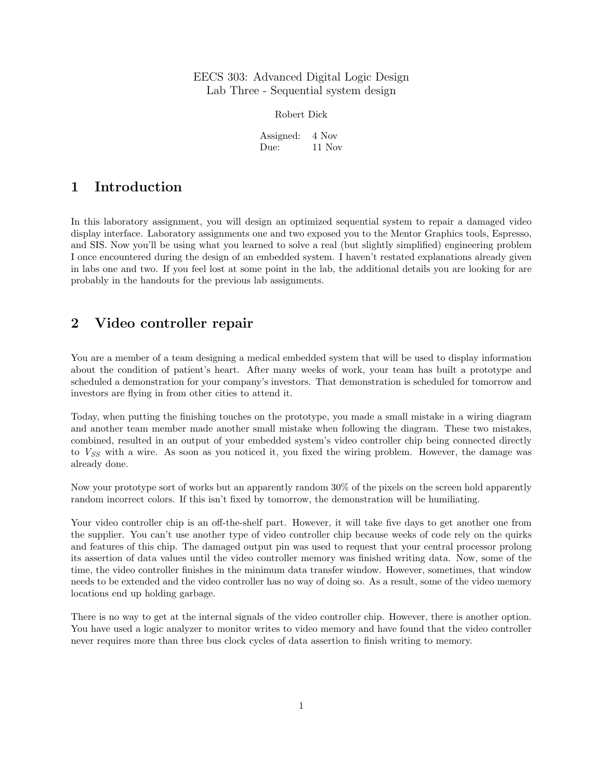## EECS 303: Advanced Digital Logic Design Lab Three - Sequential system design

Robert Dick

Assigned: 4 Nov Due: 11 Nov

## 1 Introduction

In this laboratory assignment, you will design an optimized sequential system to repair a damaged video display interface. Laboratory assignments one and two exposed you to the Mentor Graphics tools, Espresso, and SIS. Now you'll be using what you learned to solve a real (but slightly simplified) engineering problem I once encountered during the design of an embedded system. I haven't restated explanations already given in labs one and two. If you feel lost at some point in the lab, the additional details you are looking for are probably in the handouts for the previous lab assignments.

# <span id="page-0-0"></span>2 Video controller repair

You are a member of a team designing a medical embedded system that will be used to display information about the condition of patient's heart. After many weeks of work, your team has built a prototype and scheduled a demonstration for your company's investors. That demonstration is scheduled for tomorrow and investors are flying in from other cities to attend it.

Today, when putting the finishing touches on the prototype, you made a small mistake in a wiring diagram and another team member made another small mistake when following the diagram. These two mistakes, combined, resulted in an output of your embedded system's video controller chip being connected directly to  $V_{SS}$  with a wire. As soon as you noticed it, you fixed the wiring problem. However, the damage was already done.

Now your prototype sort of works but an apparently random 30% of the pixels on the screen hold apparently random incorrect colors. If this isn't fixed by tomorrow, the demonstration will be humiliating.

Your video controller chip is an off-the-shelf part. However, it will take five days to get another one from the supplier. You can't use another type of video controller chip because weeks of code rely on the quirks and features of this chip. The damaged output pin was used to request that your central processor prolong its assertion of data values until the video controller memory was finished writing data. Now, some of the time, the video controller finishes in the minimum data transfer window. However, sometimes, that window needs to be extended and the video controller has no way of doing so. As a result, some of the video memory locations end up holding garbage.

There is no way to get at the internal signals of the video controller chip. However, there is another option. You have used a logic analyzer to monitor writes to video memory and have found that the video controller never requires more than three bus clock cycles of data assertion to finish writing to memory.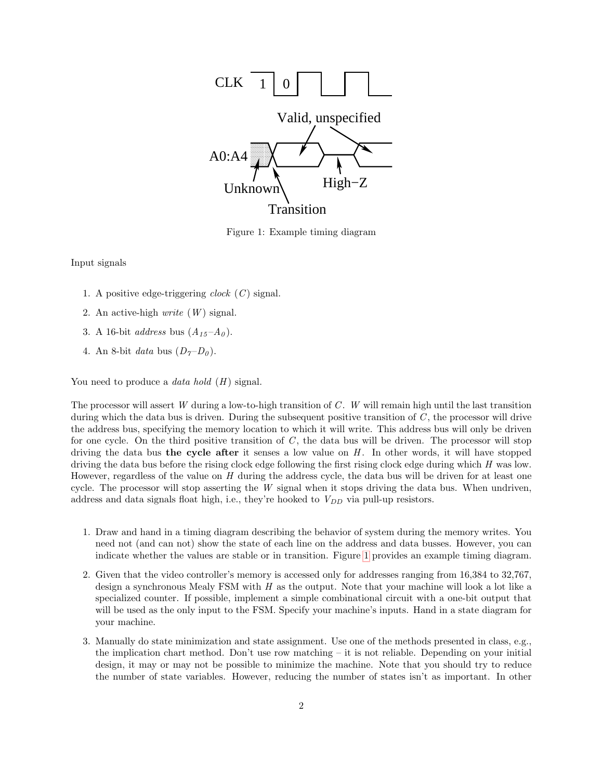

<span id="page-1-0"></span>Figure 1: Example timing diagram

Input signals

- 1. A positive edge-triggering *clock*  $(C)$  signal.
- 2. An active-high  $write (W)$  signal.
- 3. A 16-bit *address* bus  $(A_{15}-A_0)$ .
- 4. An 8-bit data bus  $(D_7-D_0)$ .

You need to produce a *data hold*  $(H)$  signal.

The processor will assert W during a low-to-high transition of  $C$ . W will remain high until the last transition during which the data bus is driven. During the subsequent positive transition of  $C$ , the processor will drive the address bus, specifying the memory location to which it will write. This address bus will only be driven for one cycle. On the third positive transition of  $C$ , the data bus will be driven. The processor will stop driving the data bus the cycle after it senses a low value on  $H$ . In other words, it will have stopped driving the data bus before the rising clock edge following the first rising clock edge during which H was low. However, regardless of the value on  $H$  during the address cycle, the data bus will be driven for at least one cycle. The processor will stop asserting the  $W$  signal when it stops driving the data bus. When undriven, address and data signals float high, i.e., they're hooked to  $V_{DD}$  via pull-up resistors.

- 1. Draw and hand in a timing diagram describing the behavior of system during the memory writes. You need not (and can not) show the state of each line on the address and data busses. However, you can indicate whether the values are stable or in transition. Figure [1](#page-1-0) provides an example timing diagram.
- 2. Given that the video controller's memory is accessed only for addresses ranging from 16,384 to 32,767, design a synchronous Mealy FSM with H as the output. Note that your machine will look a lot like a specialized counter. If possible, implement a simple combinational circuit with a one-bit output that will be used as the only input to the FSM. Specify your machine's inputs. Hand in a state diagram for your machine.
- 3. Manually do state minimization and state assignment. Use one of the methods presented in class, e.g., the implication chart method. Don't use row matching – it is not reliable. Depending on your initial design, it may or may not be possible to minimize the machine. Note that you should try to reduce the number of state variables. However, reducing the number of states isn't as important. In other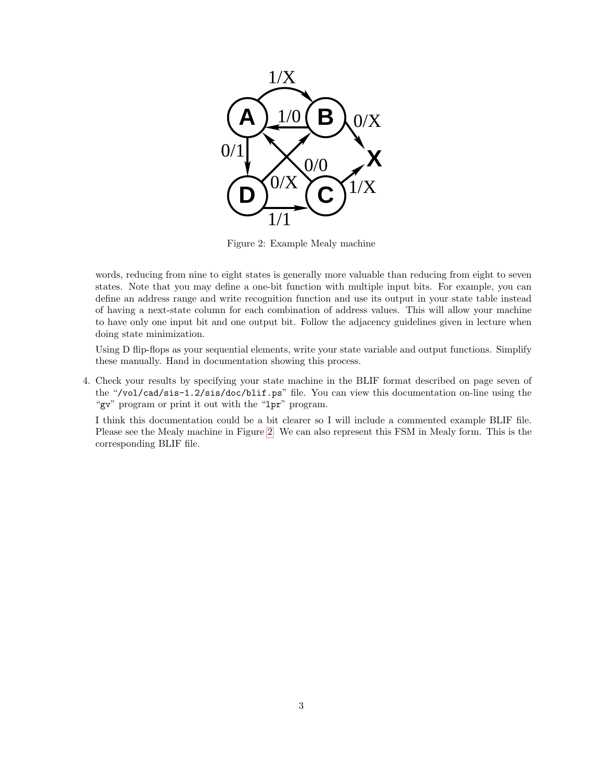

Figure 2: Example Mealy machine

<span id="page-2-0"></span>words, reducing from nine to eight states is generally more valuable than reducing from eight to seven states. Note that you may define a one-bit function with multiple input bits. For example, you can define an address range and write recognition function and use its output in your state table instead of having a next-state column for each combination of address values. This will allow your machine to have only one input bit and one output bit. Follow the adjacency guidelines given in lecture when doing state minimization.

Using D flip-flops as your sequential elements, write your state variable and output functions. Simplify these manually. Hand in documentation showing this process.

4. Check your results by specifying your state machine in the BLIF format described on page seven of the "/vol/cad/sis-1.2/sis/doc/blif.ps" file. You can view this documentation on-line using the "gv" program or print it out with the "lpr" program.

I think this documentation could be a bit clearer so I will include a commented example BLIF file. Please see the Mealy machine in Figure [2.](#page-2-0) We can also represent this FSM in Mealy form. This is the corresponding BLIF file.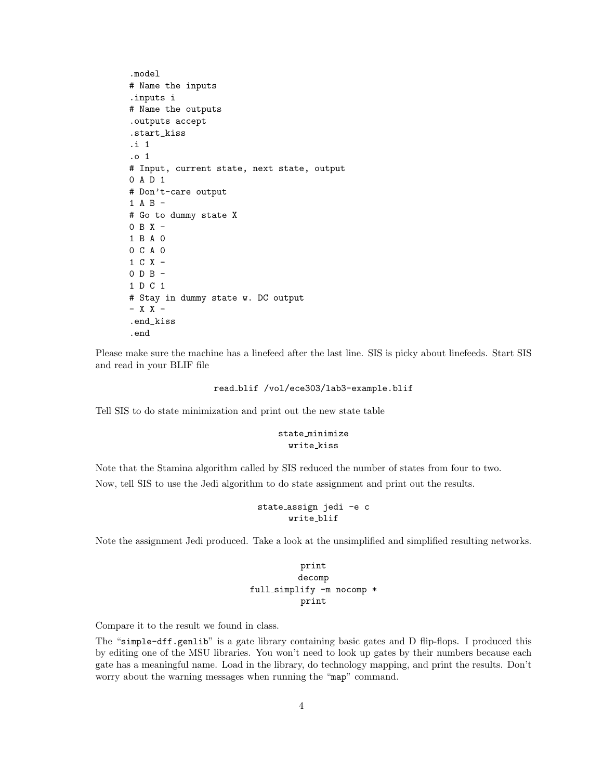```
.model
# Name the inputs
.inputs i
# Name the outputs
.outputs accept
.start_kiss
.i 1
.o 1
# Input, current state, next state, output
0 A D 1
# Don't-care output
1 A B -# Go to dummy state X
0 B X -1 B A 0
0 C A 0
1 C X -
0 D B -
1 D C 1
# Stay in dummy state w. DC output
- X X -
.end_kiss
.end
```
Please make sure the machine has a linefeed after the last line. SIS is picky about linefeeds. Start SIS and read in your BLIF file

```
read blif /vol/ece303/lab3-example.blif
```
Tell SIS to do state minimization and print out the new state table

### state minimize write kiss

Note that the Stamina algorithm called by SIS reduced the number of states from four to two. Now, tell SIS to use the Jedi algorithm to do state assignment and print out the results.

### state assign jedi -e c write blif

Note the assignment Jedi produced. Take a look at the unsimplified and simplified resulting networks.

```
print
         decomp
full simplify -m nocomp *
          print
```
Compare it to the result we found in class.

The "simple-dff.genlib" is a gate library containing basic gates and D flip-flops. I produced this by editing one of the MSU libraries. You won't need to look up gates by their numbers because each gate has a meaningful name. Load in the library, do technology mapping, and print the results. Don't worry about the warning messages when running the "map" command.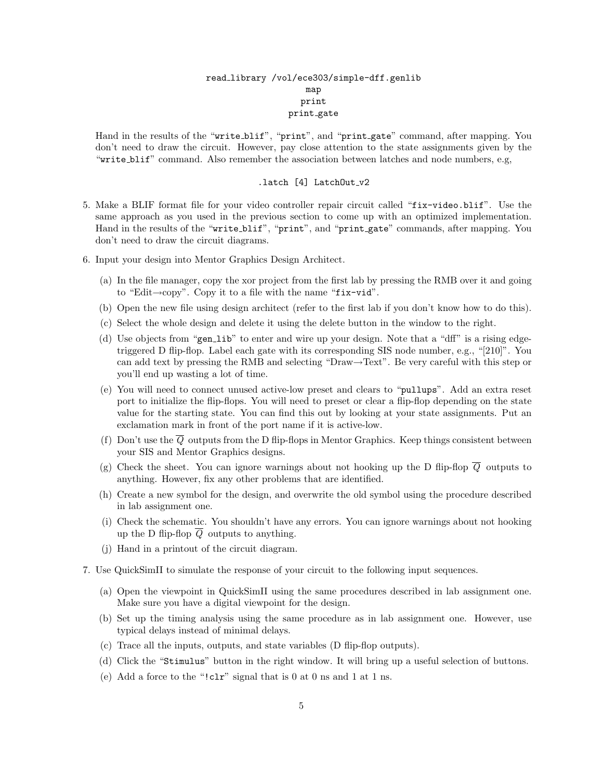### read library /vol/ece303/simple-dff.genlib map print print gate

Hand in the results of the "write blif", "print", and "print gate" command, after mapping. You don't need to draw the circuit. However, pay close attention to the state assignments given by the "write blif" command. Also remember the association between latches and node numbers, e.g,

### .latch  $[4]$  LatchOut\_v2

- 5. Make a BLIF format file for your video controller repair circuit called "fix-video.blif". Use the same approach as you used in the previous section to come up with an optimized implementation. Hand in the results of the "write blif", "print", and "print gate" commands, after mapping. You don't need to draw the circuit diagrams.
- 6. Input your design into Mentor Graphics Design Architect.
	- (a) In the file manager, copy the xor project from the first lab by pressing the RMB over it and going to "Edit→copy". Copy it to a file with the name "fix-vid".
	- (b) Open the new file using design architect (refer to the first lab if you don't know how to do this).
	- (c) Select the whole design and delete it using the delete button in the window to the right.
	- (d) Use objects from "gen lib" to enter and wire up your design. Note that a "dff" is a rising edgetriggered D flip-flop. Label each gate with its corresponding SIS node number, e.g., "[210]". You can add text by pressing the RMB and selecting "Draw→Text". Be very careful with this step or you'll end up wasting a lot of time.
	- (e) You will need to connect unused active-low preset and clears to "pullups". Add an extra reset port to initialize the flip-flops. You will need to preset or clear a flip-flop depending on the state value for the starting state. You can find this out by looking at your state assignments. Put an exclamation mark in front of the port name if it is active-low.
	- (f) Don't use the  $\overline{Q}$  outputs from the D flip-flops in Mentor Graphics. Keep things consistent between your SIS and Mentor Graphics designs.
	- (g) Check the sheet. You can ignore warnings about not hooking up the D flip-flop  $\overline{Q}$  outputs to anything. However, fix any other problems that are identified.
	- (h) Create a new symbol for the design, and overwrite the old symbol using the procedure described in lab assignment one.
	- (i) Check the schematic. You shouldn't have any errors. You can ignore warnings about not hooking up the D flip-flop  $Q$  outputs to anything.
	- (j) Hand in a printout of the circuit diagram.
- 7. Use QuickSimII to simulate the response of your circuit to the following input sequences.
	- (a) Open the viewpoint in QuickSimII using the same procedures described in lab assignment one. Make sure you have a digital viewpoint for the design.
	- (b) Set up the timing analysis using the same procedure as in lab assignment one. However, use typical delays instead of minimal delays.
	- (c) Trace all the inputs, outputs, and state variables (D flip-flop outputs).
	- (d) Click the "Stimulus" button in the right window. It will bring up a useful selection of buttons.
	- (e) Add a force to the "!clr" signal that is 0 at 0 ns and 1 at 1 ns.